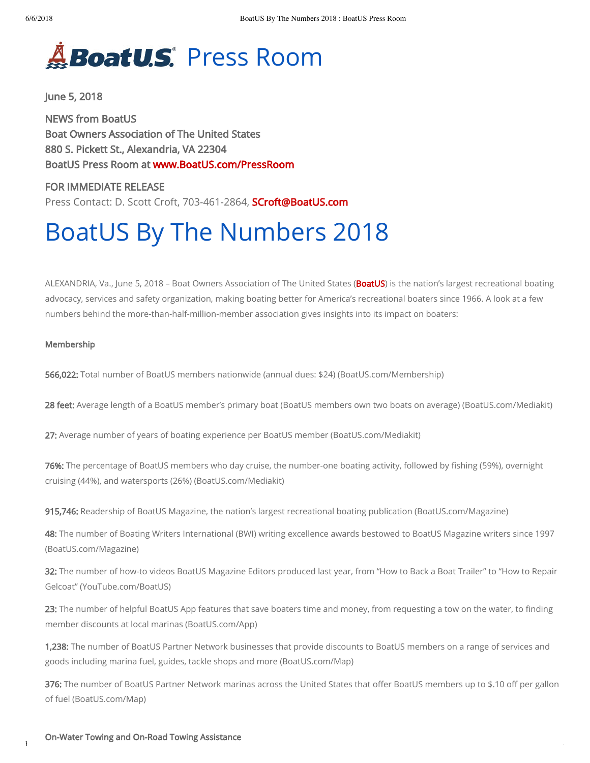## **BoatU.S**. Press Room

June 5, 2018

NEWS from BoatUS Boat Owners Association of The United States 880 S. Pickett St., Alexandria, VA 22304 BoatUS Press Room at www.BoatUS.com/PressRoom

FOR IMMEDIATE RELEASE Press Contact: D. Scott Croft, 703-461-2864, **SCroft@BoatUS.com** 

# BoatUS By The Numbers 2018

ALEXANDRIA, Va., June 5, 2018 - Boat Owners Association of The United States (BoatUS) is the nation's largest recreational boating advocacy, services and safety organization, making boating better for America's recreational boaters since 1966. A look at a few numbers behind the more-than-half-million-member association gives insights into its impact on boaters:

#### Membership

566,022: Total number of BoatUS members nationwide (annual dues: \$24) (BoatUS.com/Membership)

28 feet: Average length of a BoatUS member's primary boat (BoatUS members own two boats on average) (BoatUS.com/Mediakit)

27: Average number of years of boating experience per BoatUS member (BoatUS.com/Mediakit)

76%: The percentage of BoatUS members who day cruise, the number-one boating activity, followed by fishing (59%), overnight cruising (44%), and watersports (26%) (BoatUS.com/Mediakit)

915,746: Readership of BoatUS Magazine, the nation's largest recreational boating publication (BoatUS.com/Magazine)

48: The number of Boating Writers International (BWI) writing excellence awards bestowed to BoatUS Magazine writers since 1997 (BoatUS.com/Magazine)

32: The number of how-to videos BoatUS Magazine Editors produced last year, from "How to Back a Boat Trailer" to "How to Repair Gelcoat" (YouTube.com/BoatUS)

23: The number of helpful BoatUS App features that save boaters time and money, from requesting a tow on the water, to finding member discounts at local marinas (BoatUS.com/App)

1,238: The number of BoatUS Partner Network businesses that provide discounts to BoatUS members on a range of services and goods including marina fuel, guides, tackle shops and more (BoatUS.com/Map)

376: The number of BoatUS Partner Network marinas across the United States that offer BoatUS members up to \$.10 off per gallon of fuel (BoatUS.com/Map)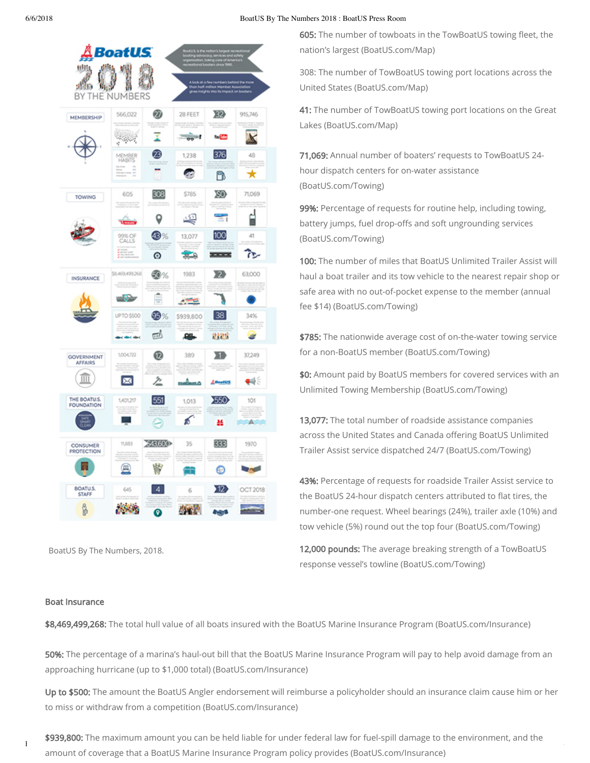6/6/2018 BoatUS By The Numbers 2018 : BoatUS Press Room

| 地版<br>地步<br>ΒY<br>THE<br>ì          | BoatUS<br>wu<br>NUMBERS                                                                                                                                                                 |                               |                  | Albok of a few numbers behind the mo<br>on half-million Member Association<br>es insights into its impact on booters |                     |
|-------------------------------------|-----------------------------------------------------------------------------------------------------------------------------------------------------------------------------------------|-------------------------------|------------------|----------------------------------------------------------------------------------------------------------------------|---------------------|
| MEMBERSHIP                          | 566,022                                                                                                                                                                                 | ⑳                             | 28 FEET          | XD)                                                                                                                  | 915,746             |
|                                     | ta kalendari ya kumani ya kuwa wa kuwa wa kuwa wa mwaka wa 1980.<br>Kata ilikuwa kuwa wa kuwa wa kuwa wa kuwa wa kuwa wa kuwa wa 1980. Maji wa kuwa wa kuwa wa 1980. Maji wa kuwa<br>v) | 23                            | $00 -$           | Te <mark>(M)</mark><br>376                                                                                           | K                   |
|                                     | MEMBER<br>HABITS                                                                                                                                                                        |                               | 1,238            | D                                                                                                                    | 48<br>ĸ             |
| TOWING                              | 605<br>Contract of Constitution Co.                                                                                                                                                     | 308                           | \$785            | 80                                                                                                                   | 71,069              |
|                                     |                                                                                                                                                                                         | u<br>48                       | 嗯<br>13,077      | $\overline{\phantom{a}}$<br>100                                                                                      | 41                  |
|                                     | 99% OF<br>CALLS                                                                                                                                                                         | ◉                             | $\sim$           |                                                                                                                      | œ                   |
| INSURANCE                           | \$8,469,499,268<br>arnat may 11.41.<br>Air an Fèireach                                                                                                                                  | 50%                           | 1983             | X)<br>ãö                                                                                                             | 63,000              |
|                                     | كالأنان                                                                                                                                                                                 | 듶                             | ಿದ               |                                                                                                                      |                     |
|                                     | UP TO \$500<br><b>Called Alleg</b>                                                                                                                                                      | <b>93</b> %<br>$\overline{c}$ | \$939,800<br>舉   | 38<br>计进步                                                                                                            | 34%<br>EB.<br>œ     |
| <b>GOVERNMENT</b><br><b>AFFAIRS</b> | 1004722                                                                                                                                                                                 | ®                             | 389              | XD                                                                                                                   | 37,249              |
| Ш                                   | ⊠                                                                                                                                                                                       | 2                             | an di            | Amounts                                                                                                              | ₩€                  |
| THE BOATU.S.<br><b>FOUNDATION</b>   | 1,401,217<br>tici i                                                                                                                                                                     | 551<br>е                      | 1,013<br>s,<br>₫ | 550<br>¥                                                                                                             | 101<br>$\mathbb{A}$ |
| CONSUMER<br><b>PROTECTION</b>       | 11,883                                                                                                                                                                                  | \$43,600                      | 35               | 333                                                                                                                  | 1970                |
|                                     | ω                                                                                                                                                                                       | 鬧                             |                  | ⊕                                                                                                                    | n.                  |
| BOATU.S.<br><b>STAFF</b>            | 645                                                                                                                                                                                     | $\overline{4}$<br>ō           | 6                | Y12)                                                                                                                 | <b>OCT 2018</b>     |

BoatUS By The Numbers, 2018.

605: The number of towboats in the TowBoatUS towing fleet, the nation's largest (BoatUS.com/Map)

308: The number of TowBoatUS towing port locations across the United States (BoatUS.com/Map)

41: The number of TowBoatUS towing port locations on the Great Lakes (BoatUS.com/Map)

71,069: Annual number of boaters' requests to TowBoatUS 24 hour dispatch centers for on-water assistance (BoatUS.com/Towing)

99%: Percentage of requests for routine help, including towing, battery jumps, fuel drop-offs and soft ungrounding services (BoatUS.com/Towing)

100: The number of miles that BoatUS Unlimited Trailer Assist will haul a boat trailer and its tow vehicle to the nearest repair shop or safe area with no out-of-pocket expense to the member (annual fee \$14) (BoatUS.com/Towing)

\$785: The nationwide average cost of on-the-water towing service for a non-BoatUS member (BoatUS.com/Towing)

\$0: Amount paid by BoatUS members for covered services with an Unlimited Towing Membership (BoatUS.com/Towing)

13,077: The total number of roadside assistance companies across the United States and Canada offering BoatUS Unlimited Trailer Assist service dispatched 24/7 (BoatUS.com/Towing)

43%: Percentage of requests for roadside Trailer Assist service to the BoatUS 24-hour dispatch centers attributed to flat tires, the number-one request. Wheel bearings (24%), trailer axle (10%) and tow vehicle (5%) round out the top four (BoatUS.com/Towing)

12,000 pounds: The average breaking strength of a TowBoatUS response vessel's towline (BoatUS.com/Towing)

#### Boat Insurance

\$8,469,499,268: The total hull value of all boats insured with the BoatUS Marine Insurance Program (BoatUS.com/Insurance)

50%: The percentage of a marina's haul-out bill that the BoatUS Marine Insurance Program will pay to help avoid damage from an approaching hurricane (up to \$1,000 total) (BoatUS.com/Insurance)

Up to \$500: The amount the BoatUS Angler endorsement will reimburse a policyholder should an insurance claim cause him or her to miss or withdraw from a competition (BoatUS.com/Insurance)

 $h$  is the pressret of the space of the space  $\alpha$  as pressred in the space  $\alpha$  asp?id=1388 2/4388 2/438 2/438 2/438 2/438 2/438 2/438 2/438 2/438 2/438 2/438 2/438 2/438 2/438 2/438 2/438 2/438 2/438 2/438 2/438 2/438 2 \$939,800: The maximum amount you can be held liable for under federal law for fuel-spill damage to the environment, and the amount of coverage that a BoatUS Marine Insurance Program policy provides (BoatUS.com/Insurance)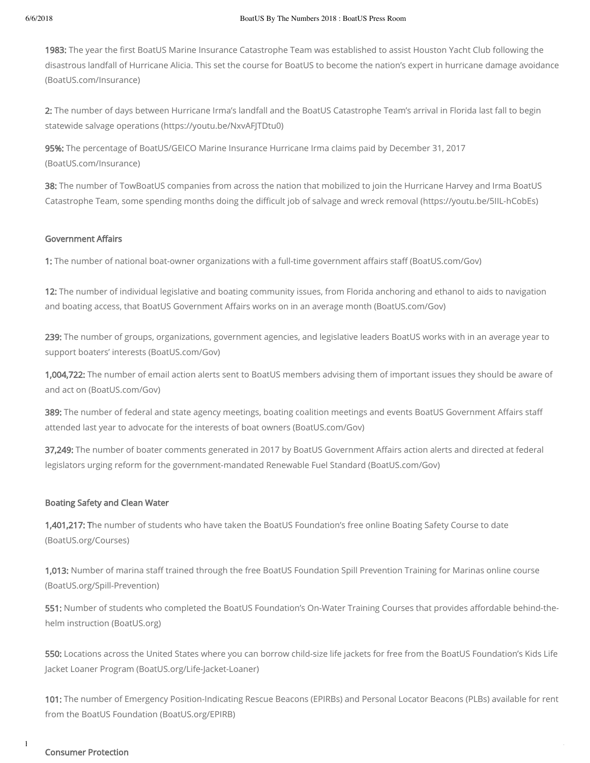1983: The year the first BoatUS Marine Insurance Catastrophe Team was established to assist Houston Yacht Club following the disastrous landfall of Hurricane Alicia. This set the course for BoatUS to become the nation's expert in hurricane damage avoidance (BoatUS.com/Insurance)

2: The number of days between Hurricane Irma's landfall and the BoatUS Catastrophe Team's arrival in Florida last fall to begin statewide salvage operations (https://youtu.be/NxvAFJTDtu0)

95%: The percentage of BoatUS/GEICO Marine Insurance Hurricane Irma claims paid by December 31, 2017 (BoatUS.com/Insurance)

38: The number of TowBoatUS companies from across the nation that mobilized to join the Hurricane Harvey and Irma BoatUS Catastrophe Team, some spending months doing the difficult job of salvage and wreck removal (https://youtu.be/5IIL-hCobEs)

### **Government Affairs**

1: The number of national boat-owner organizations with a full-time government affairs staff (BoatUS.com/Gov)

12: The number of individual legislative and boating community issues, from Florida anchoring and ethanol to aids to navigation and boating access, that BoatUS Government Affairs works on in an average month (BoatUS.com/Gov)

239: The number of groups, organizations, government agencies, and legislative leaders BoatUS works with in an average year to support boaters' interests (BoatUS.com/Gov)

1,004,722: The number of email action alerts sent to BoatUS members advising them of important issues they should be aware of and act on (BoatUS.com/Gov)

389: The number of federal and state agency meetings, boating coalition meetings and events BoatUS Government Affairs staff attended last year to advocate for the interests of boat owners (BoatUS.com/Gov)

37,249: The number of boater comments generated in 2017 by BoatUS Government Affairs action alerts and directed at federal legislators urging reform for the government-mandated Renewable Fuel Standard (BoatUS.com/Gov)

#### Boating Safety and Clean Water

1,401,217: The number of students who have taken the BoatUS Foundation's free online Boating Safety Course to date (BoatUS.org/Courses)

1,013: Number of marina staff trained through the free BoatUS Foundation Spill Prevention Training for Marinas online course (BoatUS.org/Spill-Prevention)

551: Number of students who completed the BoatUS Foundation's On-Water Training Courses that provides affordable behind-thehelm instruction (BoatUS.org)

550: Locations across the United States where you can borrow child-size life jackets for free from the BoatUS Foundation's Kids Life Jacket Loaner Program (BoatUS.org/Life-Jacket-Loaner)

101: The number of Emergency Position-Indicating Rescue Beacons (EPIRBs) and Personal Locator Beacons (PLBs) available for rent from the BoatUS Foundation (BoatUS.org/EPIRB)

#### https://www.boatus.com/pressroom/release.asp?id=1388 3/488 3/488 3/488 3/488 3/488 3/488 3/488 3/488 3/488 3/488 3/488 3/488 3/488 3/488 3/488 3/488 3/488 3/488 3/488 3/488 3/488 3/488 3/488 3/488 3/488 3/488 3/488 3/488 Consumer Protection